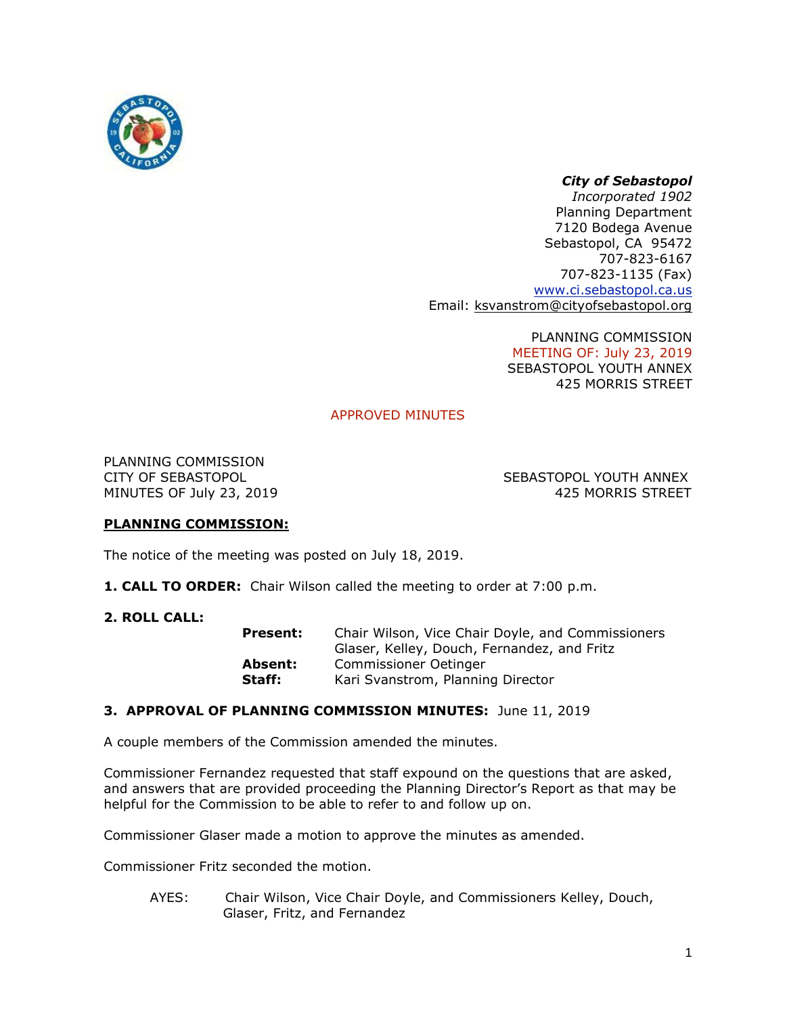

## *City of Sebastopol*

*Incorporated 1902* Planning Department 7120 Bodega Avenue Sebastopol, CA 95472 707-823-6167 707-823-1135 (Fax) [www.ci.sebastopol.ca.us](http://www.ci.sebastopol.ca.us/) Email: [ksvanstrom@cityofsebastopol.org](mailto:ksvanstrom@cityofsebastopol.org)

> PLANNING COMMISSION MEETING OF: July 23, 2019 SEBASTOPOL YOUTH ANNEX

> > 425 MORRIS STREET

# APPROVED MINUTES

PLANNING COMMISSION

CITY OF SEBASTOPOL SEBASTOPOL YOUTH ANNEX MINUTES OF July 23, 2019 **And Strutter Control Control Control Control Control Control Control Control Control Control Control Control Control Control Control Control Control Control Control Control Control Control Control** 

## **PLANNING COMMISSION:**

The notice of the meeting was posted on July 18, 2019.

**1. CALL TO ORDER:** Chair Wilson called the meeting to order at 7:00 p.m.

#### **2. ROLL CALL:**

| Present:          | Chair Wilson, Vice Chair Doyle, and Commissioners<br>Glaser, Kelley, Douch, Fernandez, and Fritz |
|-------------------|--------------------------------------------------------------------------------------------------|
| Absent:<br>Staff: | <b>Commissioner Oetinger</b><br>Kari Svanstrom, Planning Director                                |
|                   |                                                                                                  |

#### **3. APPROVAL OF PLANNING COMMISSION MINUTES:** June 11, 2019

A couple members of the Commission amended the minutes.

Commissioner Fernandez requested that staff expound on the questions that are asked, and answers that are provided proceeding the Planning Director's Report as that may be helpful for the Commission to be able to refer to and follow up on.

Commissioner Glaser made a motion to approve the minutes as amended.

Commissioner Fritz seconded the motion.

AYES: Chair Wilson, Vice Chair Doyle, and Commissioners Kelley, Douch, Glaser, Fritz, and Fernandez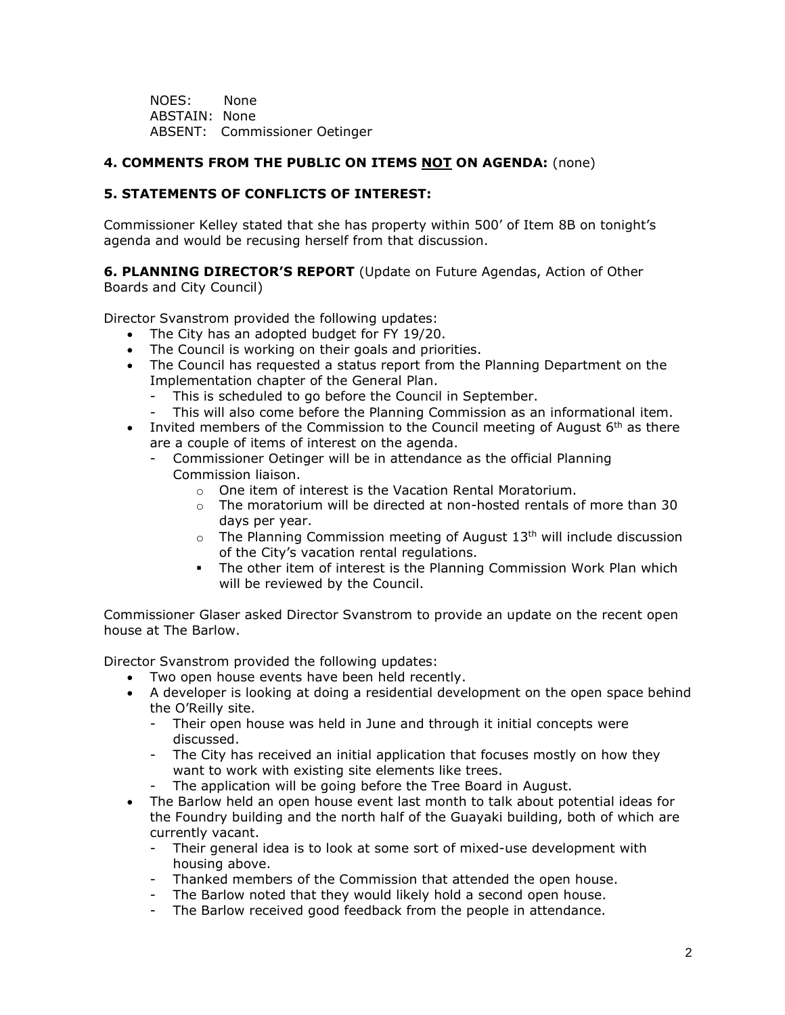NOES: None ABSTAIN: None ABSENT: Commissioner Oetinger

## **4. COMMENTS FROM THE PUBLIC ON ITEMS NOT ON AGENDA:** (none)

## **5. STATEMENTS OF CONFLICTS OF INTEREST:**

Commissioner Kelley stated that she has property within 500' of Item 8B on tonight's agenda and would be recusing herself from that discussion.

**6. PLANNING DIRECTOR'S REPORT** (Update on Future Agendas, Action of Other Boards and City Council)

Director Svanstrom provided the following updates:

- The City has an adopted budget for FY 19/20.
- The Council is working on their goals and priorities.
- The Council has requested a status report from the Planning Department on the Implementation chapter of the General Plan.
	- This is scheduled to go before the Council in September.
	- This will also come before the Planning Commission as an informational item.
- Invited members of the Commission to the Council meeting of August  $6<sup>th</sup>$  as there are a couple of items of interest on the agenda.
	- Commissioner Oetinger will be in attendance as the official Planning Commission liaison.
		- o One item of interest is the Vacation Rental Moratorium.
		- $\circ$  The moratorium will be directed at non-hosted rentals of more than 30 days per year.
		- $\circ$  The Planning Commission meeting of August 13<sup>th</sup> will include discussion of the City's vacation rental regulations.
		- **•** The other item of interest is the Planning Commission Work Plan which will be reviewed by the Council.

Commissioner Glaser asked Director Svanstrom to provide an update on the recent open house at The Barlow.

Director Svanstrom provided the following updates:

- Two open house events have been held recently.
- A developer is looking at doing a residential development on the open space behind the O'Reilly site.
	- Their open house was held in June and through it initial concepts were discussed.
	- The City has received an initial application that focuses mostly on how they want to work with existing site elements like trees.
	- The application will be going before the Tree Board in August.
- The Barlow held an open house event last month to talk about potential ideas for the Foundry building and the north half of the Guayaki building, both of which are currently vacant.
	- Their general idea is to look at some sort of mixed-use development with housing above.
	- Thanked members of the Commission that attended the open house.
	- The Barlow noted that they would likely hold a second open house.
	- The Barlow received good feedback from the people in attendance.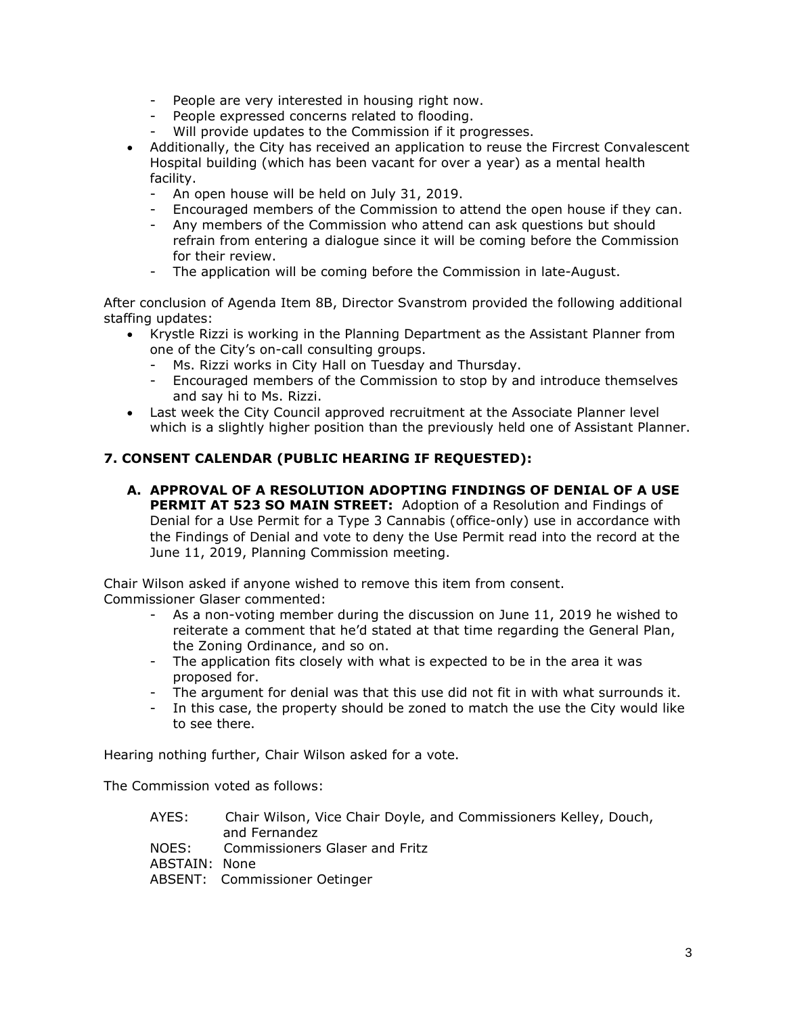- People are very interested in housing right now.
- People expressed concerns related to flooding.
- Will provide updates to the Commission if it progresses.
- Additionally, the City has received an application to reuse the Fircrest Convalescent Hospital building (which has been vacant for over a year) as a mental health facility.
	- An open house will be held on July 31, 2019.
	- Encouraged members of the Commission to attend the open house if they can.
	- Any members of the Commission who attend can ask questions but should refrain from entering a dialogue since it will be coming before the Commission for their review.
	- The application will be coming before the Commission in late-August.

After conclusion of Agenda Item 8B, Director Svanstrom provided the following additional staffing updates:

- Krystle Rizzi is working in the Planning Department as the Assistant Planner from one of the City's on-call consulting groups.
	- Ms. Rizzi works in City Hall on Tuesday and Thursday.
	- Encouraged members of the Commission to stop by and introduce themselves and say hi to Ms. Rizzi.
- Last week the City Council approved recruitment at the Associate Planner level which is a slightly higher position than the previously held one of Assistant Planner.

# **7. CONSENT CALENDAR (PUBLIC HEARING IF REQUESTED):**

**A. APPROVAL OF A RESOLUTION ADOPTING FINDINGS OF DENIAL OF A USE PERMIT AT 523 SO MAIN STREET:** Adoption of a Resolution and Findings of Denial for a Use Permit for a Type 3 Cannabis (office-only) use in accordance with the Findings of Denial and vote to deny the Use Permit read into the record at the June 11, 2019, Planning Commission meeting.

Chair Wilson asked if anyone wished to remove this item from consent. Commissioner Glaser commented:

- As a non-voting member during the discussion on June 11, 2019 he wished to reiterate a comment that he'd stated at that time regarding the General Plan, the Zoning Ordinance, and so on.
- The application fits closely with what is expected to be in the area it was proposed for.
- The argument for denial was that this use did not fit in with what surrounds it.
- In this case, the property should be zoned to match the use the City would like to see there.

Hearing nothing further, Chair Wilson asked for a vote.

The Commission voted as follows:

AYES: Chair Wilson, Vice Chair Doyle, and Commissioners Kelley, Douch, and Fernandez NOES: Commissioners Glaser and Fritz ABSTAIN: None ABSENT: Commissioner Oetinger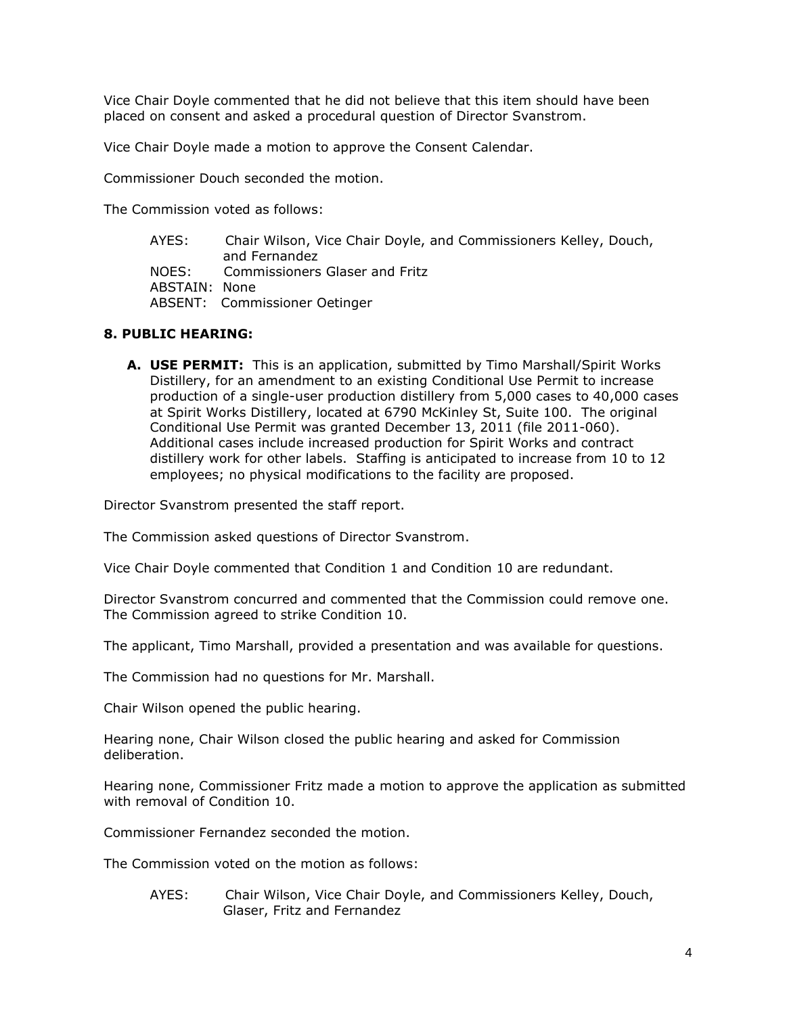Vice Chair Doyle commented that he did not believe that this item should have been placed on consent and asked a procedural question of Director Svanstrom.

Vice Chair Doyle made a motion to approve the Consent Calendar.

Commissioner Douch seconded the motion.

The Commission voted as follows:

AYES: Chair Wilson, Vice Chair Doyle, and Commissioners Kelley, Douch, and Fernandez NOES: Commissioners Glaser and Fritz ABSTAIN: None ABSENT: Commissioner Oetinger

#### **8. PUBLIC HEARING:**

**A. USE PERMIT:** This is an application, submitted by Timo Marshall/Spirit Works Distillery, for an amendment to an existing Conditional Use Permit to increase production of a single-user production distillery from 5,000 cases to 40,000 cases at Spirit Works Distillery, located at 6790 McKinley St, Suite 100. The original Conditional Use Permit was granted December 13, 2011 (file 2011-060). Additional cases include increased production for Spirit Works and contract distillery work for other labels. Staffing is anticipated to increase from 10 to 12 employees; no physical modifications to the facility are proposed.

Director Svanstrom presented the staff report.

The Commission asked questions of Director Svanstrom.

Vice Chair Doyle commented that Condition 1 and Condition 10 are redundant.

Director Svanstrom concurred and commented that the Commission could remove one. The Commission agreed to strike Condition 10.

The applicant, Timo Marshall, provided a presentation and was available for questions.

The Commission had no questions for Mr. Marshall.

Chair Wilson opened the public hearing.

Hearing none, Chair Wilson closed the public hearing and asked for Commission deliberation.

Hearing none, Commissioner Fritz made a motion to approve the application as submitted with removal of Condition 10.

Commissioner Fernandez seconded the motion.

The Commission voted on the motion as follows:

AYES: Chair Wilson, Vice Chair Doyle, and Commissioners Kelley, Douch, Glaser, Fritz and Fernandez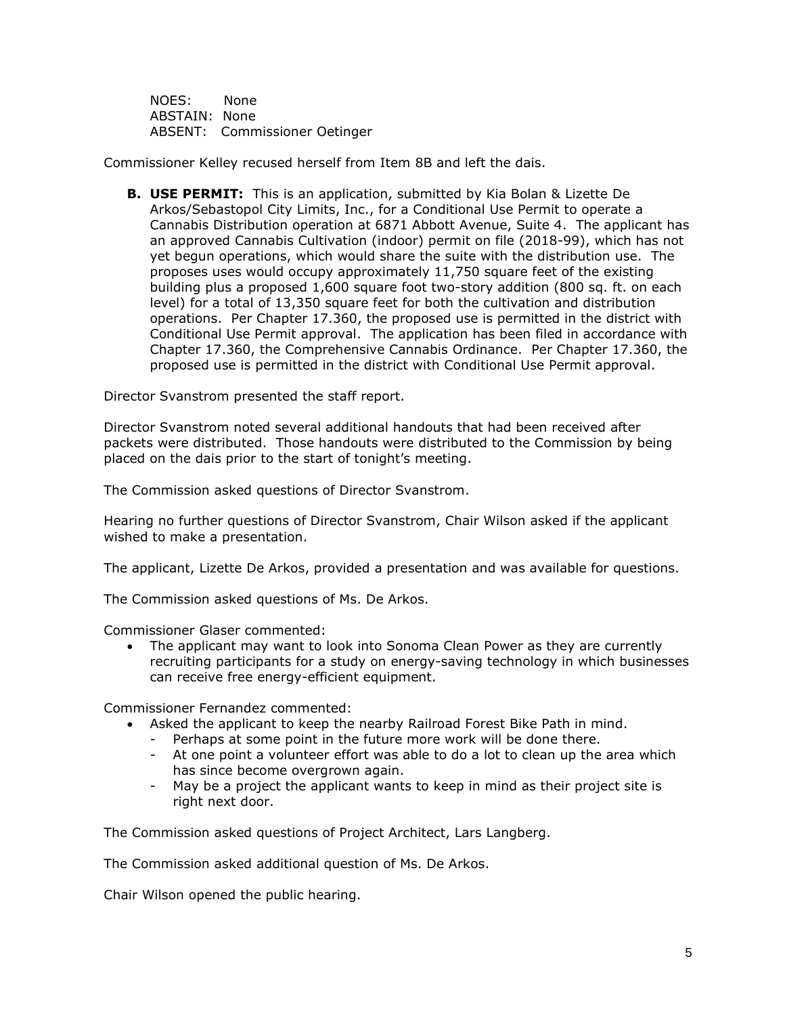NOES: None ABSTAIN: None ABSENT: Commissioner Oetinger

Commissioner Kelley recused herself from Item 8B and left the dais.

**B. USE PERMIT:** This is an application, submitted by Kia Bolan & Lizette De Arkos/Sebastopol City Limits, Inc., for a Conditional Use Permit to operate a Cannabis Distribution operation at 6871 Abbott Avenue, Suite 4. The applicant has an approved Cannabis Cultivation (indoor) permit on file (2018-99), which has not yet begun operations, which would share the suite with the distribution use. The proposes uses would occupy approximately 11,750 square feet of the existing building plus a proposed 1,600 square foot two-story addition (800 sq. ft. on each level) for a total of 13,350 square feet for both the cultivation and distribution operations. Per Chapter 17.360, the proposed use is permitted in the district with Conditional Use Permit approval. The application has been filed in accordance with Chapter 17.360, the Comprehensive Cannabis Ordinance. Per Chapter 17.360, the proposed use is permitted in the district with Conditional Use Permit approval.

Director Svanstrom presented the staff report.

Director Svanstrom noted several additional handouts that had been received after packets were distributed. Those handouts were distributed to the Commission by being placed on the dais prior to the start of tonight's meeting.

The Commission asked questions of Director Svanstrom.

Hearing no further questions of Director Svanstrom, Chair Wilson asked if the applicant wished to make a presentation.

The applicant, Lizette De Arkos, provided a presentation and was available for questions.

The Commission asked questions of Ms. De Arkos.

Commissioner Glaser commented:

• The applicant may want to look into Sonoma Clean Power as they are currently recruiting participants for a study on energy-saving technology in which businesses can receive free energy-efficient equipment.

Commissioner Fernandez commented:

- Asked the applicant to keep the nearby Railroad Forest Bike Path in mind.
	- Perhaps at some point in the future more work will be done there.
	- At one point a volunteer effort was able to do a lot to clean up the area which has since become overgrown again.
	- May be a project the applicant wants to keep in mind as their project site is right next door.

The Commission asked questions of Project Architect, Lars Langberg.

The Commission asked additional question of Ms. De Arkos.

Chair Wilson opened the public hearing.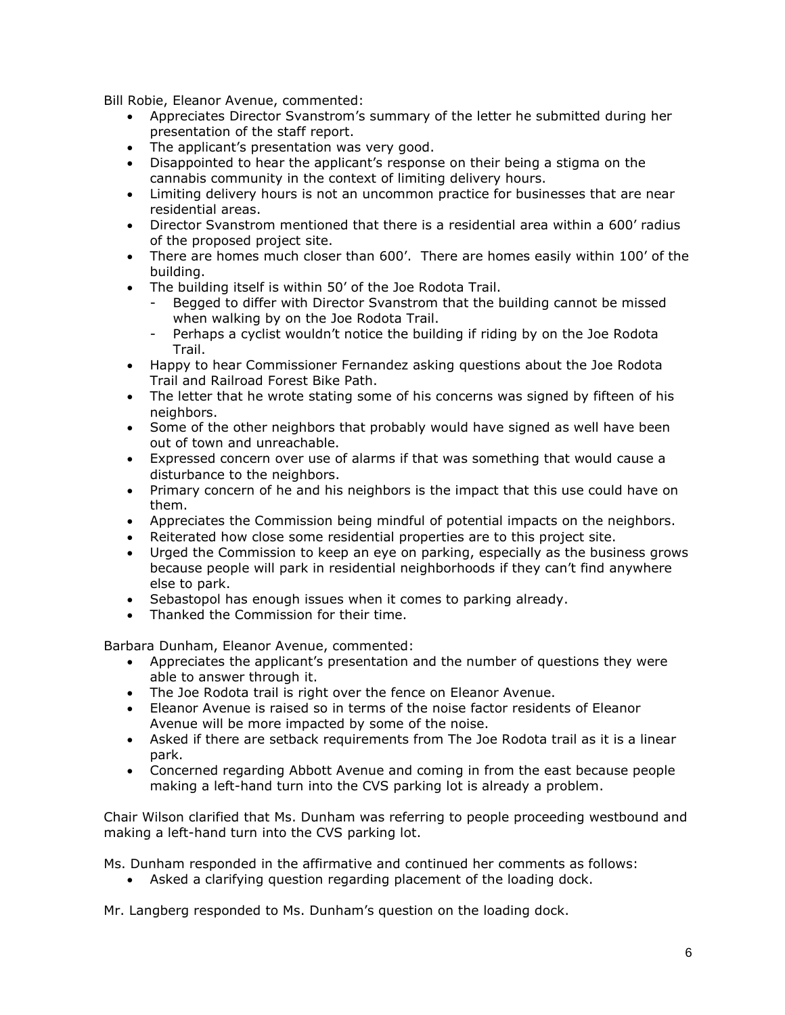Bill Robie, Eleanor Avenue, commented:

- Appreciates Director Svanstrom's summary of the letter he submitted during her presentation of the staff report.
- The applicant's presentation was very good.
- Disappointed to hear the applicant's response on their being a stigma on the cannabis community in the context of limiting delivery hours.
- Limiting delivery hours is not an uncommon practice for businesses that are near residential areas.
- Director Svanstrom mentioned that there is a residential area within a 600' radius of the proposed project site.
- There are homes much closer than 600'. There are homes easily within 100' of the building.
- The building itself is within 50' of the Joe Rodota Trail.
	- Begged to differ with Director Svanstrom that the building cannot be missed when walking by on the Joe Rodota Trail.
	- Perhaps a cyclist wouldn't notice the building if riding by on the Joe Rodota Trail.
- Happy to hear Commissioner Fernandez asking questions about the Joe Rodota Trail and Railroad Forest Bike Path.
- The letter that he wrote stating some of his concerns was signed by fifteen of his neighbors.
- Some of the other neighbors that probably would have signed as well have been out of town and unreachable.
- Expressed concern over use of alarms if that was something that would cause a disturbance to the neighbors.
- Primary concern of he and his neighbors is the impact that this use could have on them.
- Appreciates the Commission being mindful of potential impacts on the neighbors.
- Reiterated how close some residential properties are to this project site.
- Urged the Commission to keep an eye on parking, especially as the business grows because people will park in residential neighborhoods if they can't find anywhere else to park.
- Sebastopol has enough issues when it comes to parking already.
- Thanked the Commission for their time.

Barbara Dunham, Eleanor Avenue, commented:

- Appreciates the applicant's presentation and the number of questions they were able to answer through it.
- The Joe Rodota trail is right over the fence on Eleanor Avenue.
- Eleanor Avenue is raised so in terms of the noise factor residents of Eleanor Avenue will be more impacted by some of the noise.
- Asked if there are setback requirements from The Joe Rodota trail as it is a linear park.
- Concerned regarding Abbott Avenue and coming in from the east because people making a left-hand turn into the CVS parking lot is already a problem.

Chair Wilson clarified that Ms. Dunham was referring to people proceeding westbound and making a left-hand turn into the CVS parking lot.

Ms. Dunham responded in the affirmative and continued her comments as follows:

• Asked a clarifying question regarding placement of the loading dock.

Mr. Langberg responded to Ms. Dunham's question on the loading dock.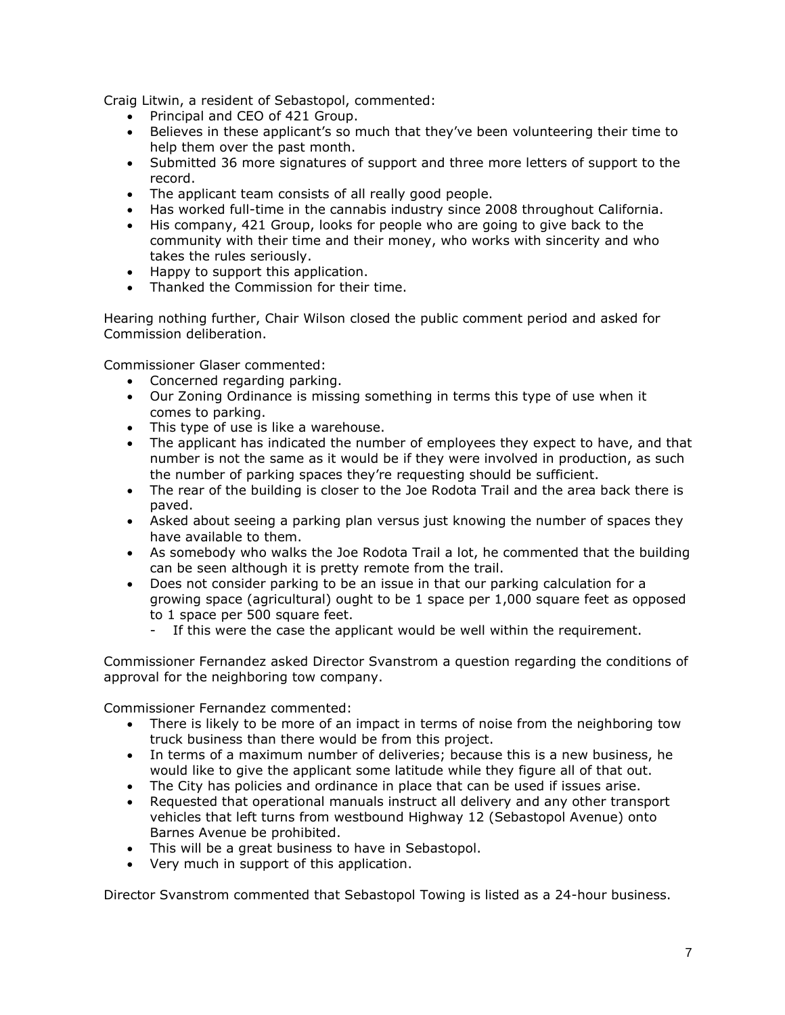Craig Litwin, a resident of Sebastopol, commented:

- Principal and CEO of 421 Group.
- Believes in these applicant's so much that they've been volunteering their time to help them over the past month.
- Submitted 36 more signatures of support and three more letters of support to the record.
- The applicant team consists of all really good people.
- Has worked full-time in the cannabis industry since 2008 throughout California.
- His company, 421 Group, looks for people who are going to give back to the community with their time and their money, who works with sincerity and who takes the rules seriously.
- Happy to support this application.
- Thanked the Commission for their time.

Hearing nothing further, Chair Wilson closed the public comment period and asked for Commission deliberation.

Commissioner Glaser commented:

- Concerned regarding parking.
- Our Zoning Ordinance is missing something in terms this type of use when it comes to parking.
- This type of use is like a warehouse.
- The applicant has indicated the number of employees they expect to have, and that number is not the same as it would be if they were involved in production, as such the number of parking spaces they're requesting should be sufficient.
- The rear of the building is closer to the Joe Rodota Trail and the area back there is paved.
- Asked about seeing a parking plan versus just knowing the number of spaces they have available to them.
- As somebody who walks the Joe Rodota Trail a lot, he commented that the building can be seen although it is pretty remote from the trail.
- Does not consider parking to be an issue in that our parking calculation for a growing space (agricultural) ought to be 1 space per 1,000 square feet as opposed to 1 space per 500 square feet.
	- If this were the case the applicant would be well within the requirement.

Commissioner Fernandez asked Director Svanstrom a question regarding the conditions of approval for the neighboring tow company.

Commissioner Fernandez commented:

- There is likely to be more of an impact in terms of noise from the neighboring tow truck business than there would be from this project.
- In terms of a maximum number of deliveries; because this is a new business, he would like to give the applicant some latitude while they figure all of that out.
- The City has policies and ordinance in place that can be used if issues arise.
- Requested that operational manuals instruct all delivery and any other transport vehicles that left turns from westbound Highway 12 (Sebastopol Avenue) onto Barnes Avenue be prohibited.
- This will be a great business to have in Sebastopol.
- Very much in support of this application.

Director Svanstrom commented that Sebastopol Towing is listed as a 24-hour business.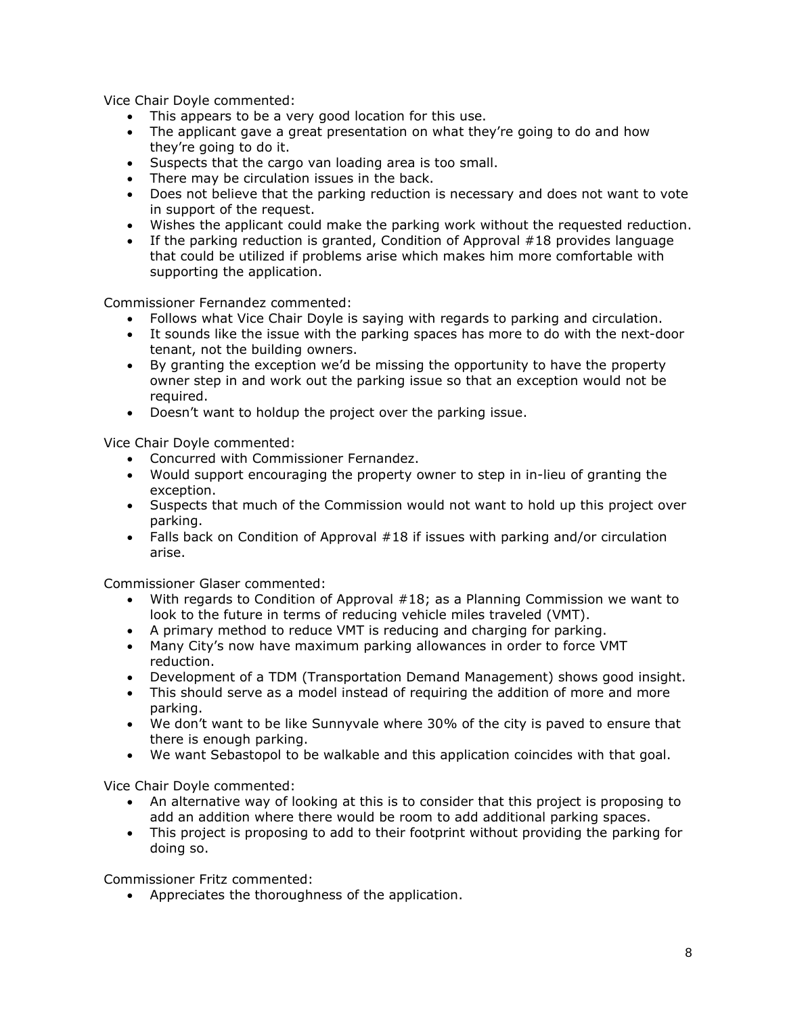Vice Chair Doyle commented:

- This appears to be a very good location for this use.
- The applicant gave a great presentation on what they're going to do and how they're going to do it.
- Suspects that the cargo van loading area is too small.
- There may be circulation issues in the back.
- Does not believe that the parking reduction is necessary and does not want to vote in support of the request.
- Wishes the applicant could make the parking work without the requested reduction.
- If the parking reduction is granted, Condition of Approval #18 provides language that could be utilized if problems arise which makes him more comfortable with supporting the application.

Commissioner Fernandez commented:

- Follows what Vice Chair Doyle is saying with regards to parking and circulation.
- It sounds like the issue with the parking spaces has more to do with the next-door tenant, not the building owners.
- By granting the exception we'd be missing the opportunity to have the property owner step in and work out the parking issue so that an exception would not be required.
- Doesn't want to holdup the project over the parking issue.

Vice Chair Doyle commented:

- Concurred with Commissioner Fernandez.
- Would support encouraging the property owner to step in in-lieu of granting the exception.
- Suspects that much of the Commission would not want to hold up this project over parking.
- Falls back on Condition of Approval #18 if issues with parking and/or circulation arise.

Commissioner Glaser commented:

- With regards to Condition of Approval #18; as a Planning Commission we want to look to the future in terms of reducing vehicle miles traveled (VMT).
- A primary method to reduce VMT is reducing and charging for parking.
- Many City's now have maximum parking allowances in order to force VMT reduction.
- Development of a TDM (Transportation Demand Management) shows good insight.
- This should serve as a model instead of requiring the addition of more and more parking.
- We don't want to be like Sunnyvale where 30% of the city is paved to ensure that there is enough parking.
- We want Sebastopol to be walkable and this application coincides with that goal.

Vice Chair Doyle commented:

- An alternative way of looking at this is to consider that this project is proposing to add an addition where there would be room to add additional parking spaces.
- This project is proposing to add to their footprint without providing the parking for doing so.

Commissioner Fritz commented:

• Appreciates the thoroughness of the application.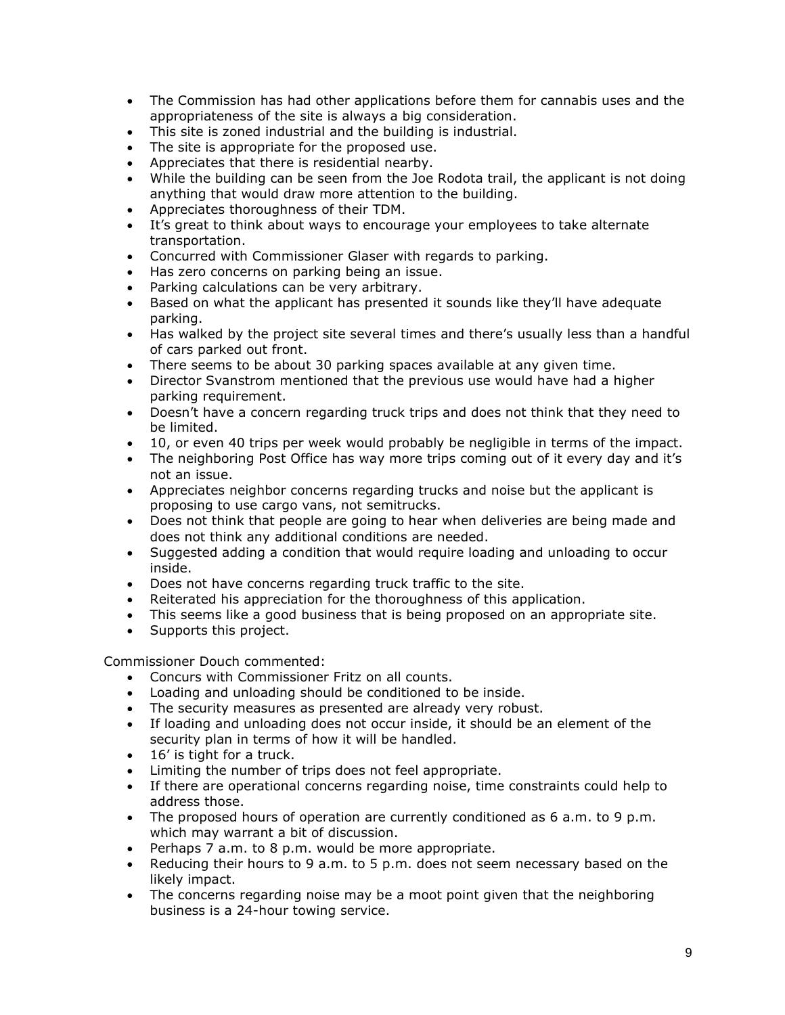- The Commission has had other applications before them for cannabis uses and the appropriateness of the site is always a big consideration.
- This site is zoned industrial and the building is industrial.
- The site is appropriate for the proposed use.
- Appreciates that there is residential nearby.
- While the building can be seen from the Joe Rodota trail, the applicant is not doing anything that would draw more attention to the building.
- Appreciates thoroughness of their TDM.
- It's great to think about ways to encourage your employees to take alternate transportation.
- Concurred with Commissioner Glaser with regards to parking.
- Has zero concerns on parking being an issue.
- Parking calculations can be very arbitrary.
- Based on what the applicant has presented it sounds like they'll have adequate parking.
- Has walked by the project site several times and there's usually less than a handful of cars parked out front.
- There seems to be about 30 parking spaces available at any given time.
- Director Svanstrom mentioned that the previous use would have had a higher parking requirement.
- Doesn't have a concern regarding truck trips and does not think that they need to be limited.
- 10, or even 40 trips per week would probably be negligible in terms of the impact.
- The neighboring Post Office has way more trips coming out of it every day and it's not an issue.
- Appreciates neighbor concerns regarding trucks and noise but the applicant is proposing to use cargo vans, not semitrucks.
- Does not think that people are going to hear when deliveries are being made and does not think any additional conditions are needed.
- Suggested adding a condition that would require loading and unloading to occur inside.
- Does not have concerns regarding truck traffic to the site.
- Reiterated his appreciation for the thoroughness of this application.
- This seems like a good business that is being proposed on an appropriate site.
- Supports this project.

Commissioner Douch commented:

- Concurs with Commissioner Fritz on all counts.
- Loading and unloading should be conditioned to be inside.
- The security measures as presented are already very robust.
- If loading and unloading does not occur inside, it should be an element of the security plan in terms of how it will be handled.
- 16' is tight for a truck.
- Limiting the number of trips does not feel appropriate.
- If there are operational concerns regarding noise, time constraints could help to address those.
- The proposed hours of operation are currently conditioned as 6 a.m. to 9 p.m. which may warrant a bit of discussion.
- Perhaps 7 a.m. to 8 p.m. would be more appropriate.
- Reducing their hours to 9 a.m. to 5 p.m. does not seem necessary based on the likely impact.
- The concerns regarding noise may be a moot point given that the neighboring business is a 24-hour towing service.